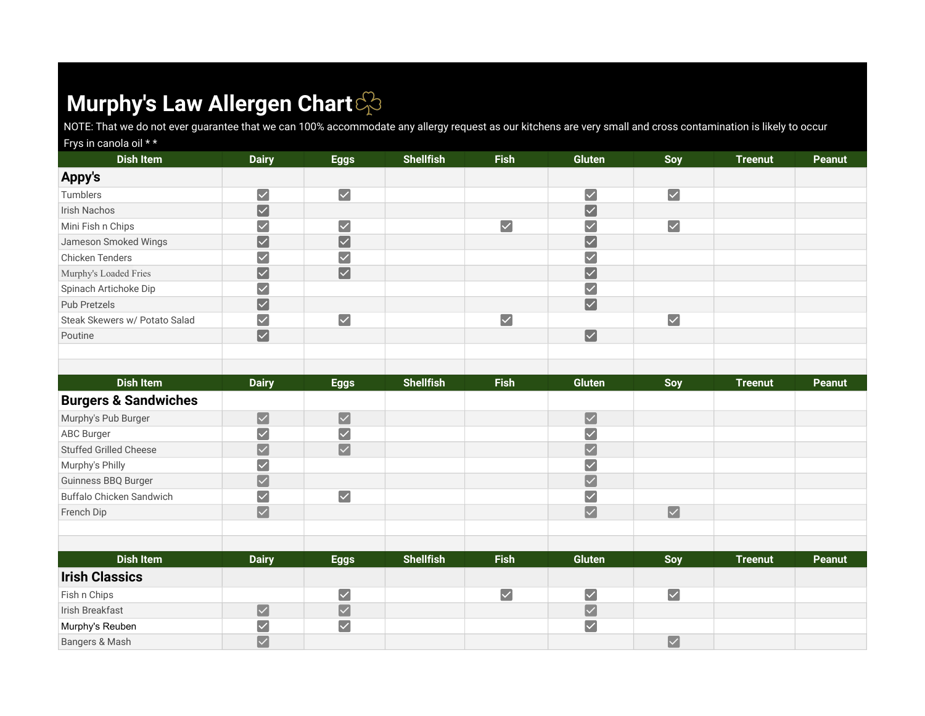## **Murphy's Law Allergen Chart**

NOTE: That we do not ever guarantee that we can 100% accommodate any allergy request as our kitchens are very small and cross contamination is likely to occur

| Frys in canola oil **         |                         |                      |                  |                      |                         |                         |                |        |
|-------------------------------|-------------------------|----------------------|------------------|----------------------|-------------------------|-------------------------|----------------|--------|
| <b>Dish Item</b>              | <b>Dairy</b>            | <b>Eggs</b>          | <b>Shellfish</b> | <b>Fish</b>          | <b>Gluten</b>           | Soy                     | <b>Treenut</b> | Peanut |
| Appy's                        |                         |                      |                  |                      |                         |                         |                |        |
| Tumblers                      | $\blacktriangledown$    | $\blacktriangledown$ |                  |                      | $\overline{\vee}$       | $\blacktriangledown$    |                |        |
| Irish Nachos                  | $\blacktriangledown$    |                      |                  |                      | $\blacktriangledown$    |                         |                |        |
| Mini Fish n Chips             | $\overline{\checkmark}$ | $\blacktriangledown$ |                  | $\blacktriangledown$ | ∨                       | $\overline{\checkmark}$ |                |        |
| Jameson Smoked Wings          | $\blacktriangledown$    | $\blacktriangledown$ |                  |                      | $\overline{\vee}$       |                         |                |        |
| Chicken Tenders               | $\blacktriangledown$    | $\blacktriangledown$ |                  |                      | $\blacktriangledown$    |                         |                |        |
| Murphy's Loaded Fries         | $\blacktriangledown$    | $\boxed{\checkmark}$ |                  |                      | $\overline{\mathsf{v}}$ |                         |                |        |
| Spinach Artichoke Dip         | $\blacktriangledown$    |                      |                  |                      | $\blacktriangledown$    |                         |                |        |
| Pub Pretzels                  | $\blacktriangledown$    |                      |                  |                      | $\overline{\mathbf{v}}$ |                         |                |        |
| Steak Skewers w/ Potato Salad | $\blacktriangledown$    | $\blacktriangledown$ |                  | $\blacktriangledown$ |                         | $\overline{\mathsf{v}}$ |                |        |
| Poutine                       | $\blacktriangledown$    |                      |                  |                      | $\blacktriangledown$    |                         |                |        |
|                               |                         |                      |                  |                      |                         |                         |                |        |
| <b>Dish Item</b>              | <b>Dairy</b>            | <b>Eggs</b>          | <b>Shellfish</b> | <b>Fish</b>          | Gluten                  | Soy                     | <b>Treenut</b> | Peanut |

| <b>DISH Rem</b>                 | Dairy                   | Eggs                  | <b>Shellfish</b> | <b>FISN</b>          | Giuten                  | <b>Soy</b>           | <u>reenut</u>  | <b>Peanut</b> |
|---------------------------------|-------------------------|-----------------------|------------------|----------------------|-------------------------|----------------------|----------------|---------------|
| <b>Burgers &amp; Sandwiches</b> |                         |                       |                  |                      |                         |                      |                |               |
| Murphy's Pub Burger             | $\blacktriangledown$    | $\blacktriangleright$ |                  |                      | $\blacktriangledown$    |                      |                |               |
| <b>ABC Burger</b>               | $\overline{\checkmark}$ | $\blacktriangledown$  |                  |                      |                         |                      |                |               |
| <b>Stuffed Grilled Cheese</b>   | $\blacktriangledown$    | $\boxed{\checkmark}$  |                  |                      | $\overline{\checkmark}$ |                      |                |               |
| Murphy's Philly                 | $\overline{\checkmark}$ |                       |                  |                      |                         |                      |                |               |
| Guinness BBQ Burger             | $\blacktriangledown$    |                       |                  |                      | $\overline{\smile}$     |                      |                |               |
| Buffalo Chicken Sandwich        | $\blacktriangledown$    | $\blacktriangledown$  |                  |                      | $\checkmark$            |                      |                |               |
| French Dip                      | $\blacktriangledown$    |                       |                  |                      | $\blacktriangledown$    | $\boxed{\checkmark}$ |                |               |
|                                 |                         |                       |                  |                      |                         |                      |                |               |
|                                 |                         |                       |                  |                      |                         |                      |                |               |
| <b>Dish Item</b>                | <b>Dairy</b>            | <b>Eggs</b>           | <b>Shellfish</b> | <b>Fish</b>          | Gluten                  | Soy                  | <b>Treenut</b> | Peanut        |
| <b>Irish Classics</b>           |                         |                       |                  |                      |                         |                      |                |               |
| Fish n Chips                    |                         | $\blacktriangledown$  |                  | $\blacktriangledown$ | $\blacktriangledown$    | $\blacktriangledown$ |                |               |
| Irish Breakfast                 | $\blacktriangledown$    | $\blacktriangledown$  |                  |                      | $\overline{\checkmark}$ |                      |                |               |
| Murphy's Reuben                 | $\overline{\checkmark}$ | $\overline{\vee}$     |                  |                      | $\blacktriangledown$    |                      |                |               |
| Bangers & Mash                  | $\overline{\smile}$     |                       |                  |                      |                         | $\blacktriangledown$ |                |               |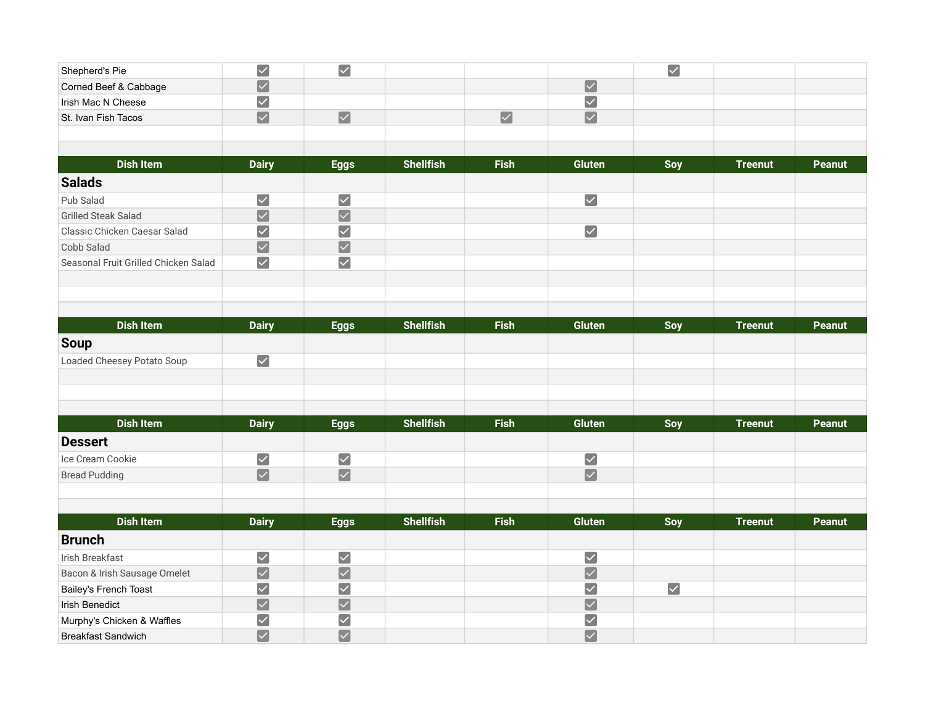| Shepherd's Pie                       | $\blacktriangledown$            | $\boxed{\checkmark}$  |                  |                      |                         | $\boxed{\checkmark}$ |                |               |
|--------------------------------------|---------------------------------|-----------------------|------------------|----------------------|-------------------------|----------------------|----------------|---------------|
| Corned Beef & Cabbage                | $\boxed{\checkmark}$            |                       |                  |                      | $\boxed{\checkmark}$    |                      |                |               |
| Irish Mac N Cheese                   | $\blacktriangledown$            |                       |                  |                      | $\blacktriangledown$    |                      |                |               |
| St. Ivan Fish Tacos                  | $\boxed{\checkmark}$            | $\boxed{\checkmark}$  |                  | $\boxed{\checkmark}$ | $\boxed{\checkmark}$    |                      |                |               |
|                                      |                                 |                       |                  |                      |                         |                      |                |               |
|                                      |                                 |                       |                  |                      |                         |                      |                |               |
| <b>Dish Item</b>                     | <b>Dairy</b>                    | <b>Eggs</b>           | <b>Shellfish</b> | <b>Fish</b>          | <b>Gluten</b>           | Soy                  | <b>Treenut</b> | <b>Peanut</b> |
| <b>Salads</b>                        |                                 |                       |                  |                      |                         |                      |                |               |
| Pub Salad                            | $\blacktriangledown$            | $\blacktriangledown$  |                  |                      | $\blacktriangledown$    |                      |                |               |
| <b>Grilled Steak Salad</b>           | $\boxed{\checkmark}$            | $\blacktriangleright$ |                  |                      |                         |                      |                |               |
| Classic Chicken Caesar Salad         | $\blacktriangleright$           | $\blacktriangledown$  |                  |                      | $\blacktriangledown$    |                      |                |               |
| Cobb Salad                           | $\boxed{\checkmark}$            | $\boxed{\checkmark}$  |                  |                      |                         |                      |                |               |
| Seasonal Fruit Grilled Chicken Salad | $\blacktriangledown$            | $\blacktriangledown$  |                  |                      |                         |                      |                |               |
|                                      |                                 |                       |                  |                      |                         |                      |                |               |
|                                      |                                 |                       |                  |                      |                         |                      |                |               |
|                                      |                                 |                       |                  |                      |                         |                      |                |               |
| <b>Dish Item</b>                     | <b>Dairy</b>                    | <b>Eggs</b>           | <b>Shellfish</b> | <b>Fish</b>          | <b>Gluten</b>           | Soy                  | <b>Treenut</b> | <b>Peanut</b> |
| <b>Soup</b>                          |                                 |                       |                  |                      |                         |                      |                |               |
| Loaded Cheesey Potato Soup           | $\blacktriangledown$            |                       |                  |                      |                         |                      |                |               |
|                                      |                                 |                       |                  |                      |                         |                      |                |               |
|                                      |                                 |                       |                  |                      |                         |                      |                |               |
|                                      |                                 |                       |                  |                      |                         |                      |                |               |
| Dish Item                            | <b>Dairy</b>                    | <b>Eggs</b>           | <b>Shellfish</b> | <b>Fish</b>          | <b>Gluten</b>           | Soy                  | <b>Treenut</b> | Peanut        |
| <b>Dessert</b>                       |                                 |                       |                  |                      |                         |                      |                |               |
| Ice Cream Cookie                     | $\boxed{\checkmark}$            | $\blacktriangleright$ |                  |                      | $\blacktriangledown$    |                      |                |               |
| <b>Bread Pudding</b>                 | $\overline{\mathbf{v}}$         | $\boxed{\checkmark}$  |                  |                      | $\overline{\mathbf{v}}$ |                      |                |               |
|                                      |                                 |                       |                  |                      |                         |                      |                |               |
|                                      |                                 |                       |                  |                      |                         |                      |                |               |
| <b>Dish Item</b>                     | <b>Dairy</b>                    | <b>Eggs</b>           | <b>Shellfish</b> | <b>Fish</b>          | <b>Gluten</b>           | Soy                  | <b>Treenut</b> | Peanut        |
| <b>Brunch</b>                        |                                 |                       |                  |                      |                         |                      |                |               |
| Irish Breakfast                      | $\blacktriangledown$            | $\blacktriangleright$ |                  |                      | $\blacktriangledown$    |                      |                |               |
| Bacon & Irish Sausage Omelet         | $\boxed{\checkmark}$            | $\boxed{\checkmark}$  |                  |                      | $\boxed{\checkmark}$    |                      |                |               |
| <b>Bailey's French Toast</b>         | $\blacktriangledown$            | $\blacktriangledown$  |                  |                      | $\blacktriangledown$    | $\blacktriangledown$ |                |               |
| <b>Irish Benedict</b>                | $\boxed{\checkmark}$            | $\blacktriangleright$ |                  |                      | $\boxed{\checkmark}$    |                      |                |               |
| Murphy's Chicken & Waffles           | $\blacktriangledown$            | $\blacktriangledown$  |                  |                      | $\blacktriangledown$    |                      |                |               |
| <b>Breakfast Sandwich</b>            | $\overline{\blacktriangledown}$ | $\boxed{\checkmark}$  |                  |                      | $\boxed{\checkmark}$    |                      |                |               |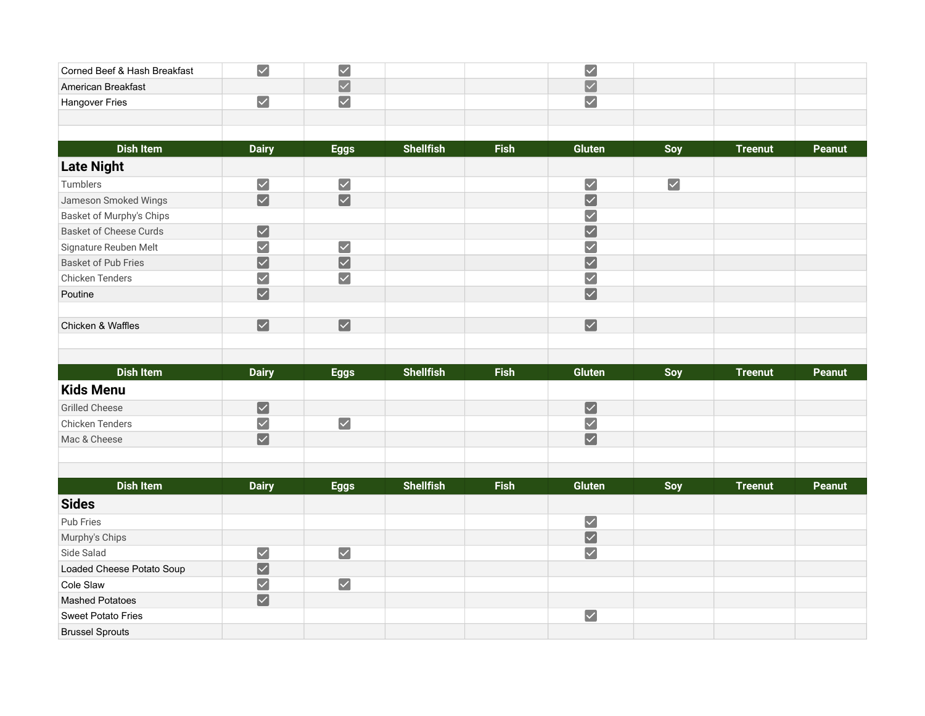| Corned Beef & Hash Breakfast  | $\blacktriangledown$  | $\blacktriangleright$ |                  |             | $\blacktriangledown$            |                      |                |               |
|-------------------------------|-----------------------|-----------------------|------------------|-------------|---------------------------------|----------------------|----------------|---------------|
| American Breakfast            |                       | $\boxed{\checkmark}$  |                  |             | $\boxed{\checkmark}$            |                      |                |               |
| Hangover Fries                | $\blacktriangledown$  | $\blacktriangledown$  |                  |             | $\boxed{\checkmark}$            |                      |                |               |
|                               |                       |                       |                  |             |                                 |                      |                |               |
|                               |                       |                       |                  |             |                                 |                      |                |               |
| <b>Dish Item</b>              | <b>Dairy</b>          | <b>Eggs</b>           | <b>Shellfish</b> | <b>Fish</b> | <b>Gluten</b>                   | Soy                  | <b>Treenut</b> | <b>Peanut</b> |
| <b>Late Night</b>             |                       |                       |                  |             |                                 |                      |                |               |
| Tumblers                      | $\blacktriangledown$  | $\blacktriangledown$  |                  |             | $\sqrt{}$                       | $\blacktriangledown$ |                |               |
| Jameson Smoked Wings          | $\blacktriangledown$  | $\boxed{\checkmark}$  |                  |             | $\overline{\blacktriangledown}$ |                      |                |               |
| Basket of Murphy's Chips      |                       |                       |                  |             | $\sqrt{}$                       |                      |                |               |
| <b>Basket of Cheese Curds</b> | $\blacktriangleright$ |                       |                  |             | $\sqrt{}$                       |                      |                |               |
| Signature Reuben Melt         | $\blacktriangledown$  | $\blacktriangledown$  |                  |             | $\sqrt{}$                       |                      |                |               |
| <b>Basket of Pub Fries</b>    | $\blacktriangledown$  | $\blacktriangleright$ |                  |             | $\overline{\mathbf{V}}$         |                      |                |               |
| Chicken Tenders               | $\blacktriangledown$  | $\blacktriangledown$  |                  |             | $\sqrt{}$                       |                      |                |               |
| Poutine                       | $\boxed{\checkmark}$  |                       |                  |             | $\boxed{\checkmark}$            |                      |                |               |
|                               |                       |                       |                  |             |                                 |                      |                |               |
| Chicken & Waffles             | $\boxed{\checkmark}$  | $\boxed{\checkmark}$  |                  |             | $\boxed{\checkmark}$            |                      |                |               |
|                               |                       |                       |                  |             |                                 |                      |                |               |
|                               |                       |                       |                  |             |                                 |                      |                |               |
|                               |                       |                       |                  |             |                                 |                      |                |               |
| <b>Dish Item</b>              | <b>Dairy</b>          | <b>Eggs</b>           | <b>Shellfish</b> | <b>Fish</b> | <b>Gluten</b>                   | Soy                  | <b>Treenut</b> | <b>Peanut</b> |
| <b>Kids Menu</b>              |                       |                       |                  |             |                                 |                      |                |               |
| <b>Grilled Cheese</b>         | $\boxed{\checkmark}$  |                       |                  |             | $\boxed{\checkmark}$            |                      |                |               |
| Chicken Tenders               | $\blacktriangledown$  | $\blacktriangledown$  |                  |             | $\blacktriangledown$            |                      |                |               |
| Mac & Cheese                  | $\boxed{\checkmark}$  |                       |                  |             | $\boxed{\checkmark}$            |                      |                |               |
|                               |                       |                       |                  |             |                                 |                      |                |               |
|                               |                       |                       |                  |             |                                 |                      |                |               |
| <b>Dish Item</b>              | <b>Dairy</b>          | <b>Eggs</b>           | <b>Shellfish</b> | <b>Fish</b> | <b>Gluten</b>                   | Soy                  | <b>Treenut</b> | Peanut        |
| <b>Sides</b>                  |                       |                       |                  |             |                                 |                      |                |               |
| Pub Fries                     |                       |                       |                  |             | $\blacktriangledown$            |                      |                |               |
| Murphy's Chips                |                       |                       |                  |             | $\boxed{\checkmark}$            |                      |                |               |
| Side Salad                    | $\blacktriangleright$ | $\blacktriangleright$ |                  |             | $\blacktriangleright$           |                      |                |               |
| Loaded Cheese Potato Soup     | $\boxed{\checkmark}$  |                       |                  |             |                                 |                      |                |               |
| Cole Slaw                     | $\blacktriangledown$  | $\blacktriangledown$  |                  |             |                                 |                      |                |               |
| <b>Mashed Potatoes</b>        |                       |                       |                  |             |                                 |                      |                |               |
|                               | $\boxed{\checkmark}$  |                       |                  |             |                                 |                      |                |               |
| <b>Sweet Potato Fries</b>     |                       |                       |                  |             | $\blacktriangledown$            |                      |                |               |